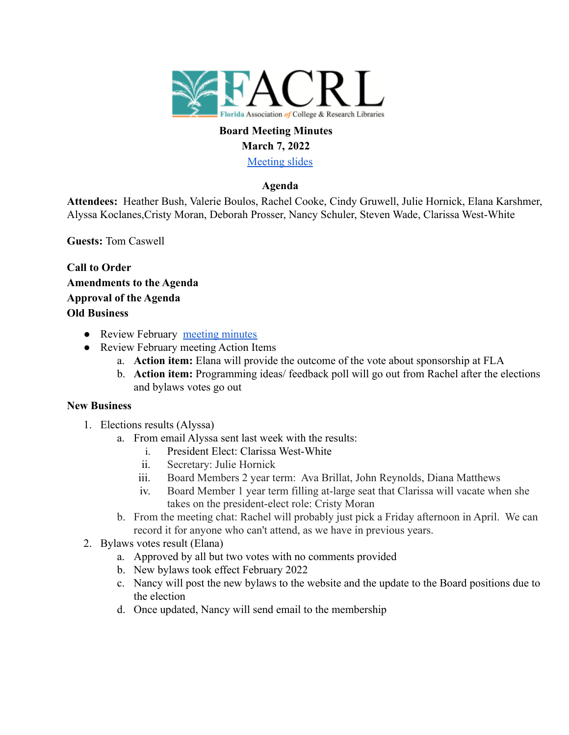

# **Board Meeting Minutes March 7, 2022**

[Meeting slides](https://docs.google.com/presentation/d/1e6tsacFDkLnGg_F3WAIh-zZLsmmtQikJiL16I6pOjz4/edit?usp=sharing)

## **Agenda**

**Attendees:** Heather Bush, Valerie Boulos, Rachel Cooke, Cindy Gruwell, Julie Hornick, Elana Karshmer, Alyssa Koclanes,Cristy Moran, Deborah Prosser, Nancy Schuler, Steven Wade, Clarissa West-White

**Guests:** Tom Caswell

**Call to Order Amendments to the Agenda Approval of the Agenda Old Business**

- Review February [meeting minutes](https://docs.google.com/document/d/1yT2OflWdxxb6a5oLuHlNi-AzPS-Zj0MC5cbNR-BhNkM/edit?usp=sharing)
- Review February meeting Action Items
	- a. **Action item:** Elana will provide the outcome of the vote about sponsorship at FLA
	- b. **Action item:** Programming ideas/ feedback poll will go out from Rachel after the elections and bylaws votes go out

#### **New Business**

- 1. Elections results (Alyssa)
	- a. From email Alyssa sent last week with the results:
		- i. President Elect: Clarissa West-White
		- ii. Secretary: Julie Hornick
		- iii. Board Members 2 year term: Ava Brillat, John Reynolds, Diana Matthews
		- iv. Board Member 1 year term filling at-large seat that Clarissa will vacate when she takes on the president-elect role: Cristy Moran
	- b. From the meeting chat: Rachel will probably just pick a Friday afternoon in April. We can record it for anyone who can't attend, as we have in previous years.
- 2. Bylaws votes result (Elana)
	- a. Approved by all but two votes with no comments provided
	- b. New bylaws took effect February 2022
	- c. Nancy will post the new bylaws to the website and the update to the Board positions due to the election
	- d. Once updated, Nancy will send email to the membership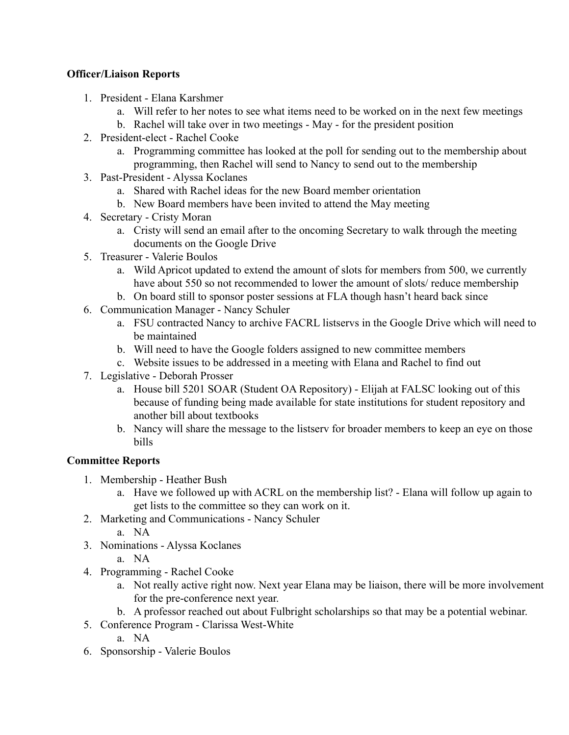### **Officer/Liaison Reports**

- 1. President Elana Karshmer
	- a. Will refer to her notes to see what items need to be worked on in the next few meetings
	- b. Rachel will take over in two meetings May for the president position
- 2. President-elect Rachel Cooke
	- a. Programming committee has looked at the poll for sending out to the membership about programming, then Rachel will send to Nancy to send out to the membership
- 3. Past-President Alyssa Koclanes
	- a. Shared with Rachel ideas for the new Board member orientation
	- b. New Board members have been invited to attend the May meeting
- 4. Secretary Cristy Moran
	- a. Cristy will send an email after to the oncoming Secretary to walk through the meeting documents on the Google Drive
- 5. Treasurer Valerie Boulos
	- a. Wild Apricot updated to extend the amount of slots for members from 500, we currently have about 550 so not recommended to lower the amount of slots/ reduce membership
	- b. On board still to sponsor poster sessions at FLA though hasn't heard back since
- 6. Communication Manager Nancy Schuler
	- a. FSU contracted Nancy to archive FACRL listservs in the Google Drive which will need to be maintained
	- b. Will need to have the Google folders assigned to new committee members
	- c. Website issues to be addressed in a meeting with Elana and Rachel to find out
- 7. Legislative Deborah Prosser
	- a. House bill 5201 SOAR (Student OA Repository) Elijah at FALSC looking out of this because of funding being made available for state institutions for student repository and another bill about textbooks
	- b. Nancy will share the message to the listserv for broader members to keep an eye on those bills

## **Committee Reports**

- 1. Membership Heather Bush
	- a. Have we followed up with ACRL on the membership list? Elana will follow up again to get lists to the committee so they can work on it.
- 2. Marketing and Communications Nancy Schuler
	- a. NA
- 3. Nominations Alyssa Koclanes
	- a. NA
- 4. Programming Rachel Cooke
	- a. Not really active right now. Next year Elana may be liaison, there will be more involvement for the pre-conference next year.
	- b. A professor reached out about Fulbright scholarships so that may be a potential webinar.
- 5. Conference Program Clarissa West-White
	- a. NA
- 6. Sponsorship Valerie Boulos